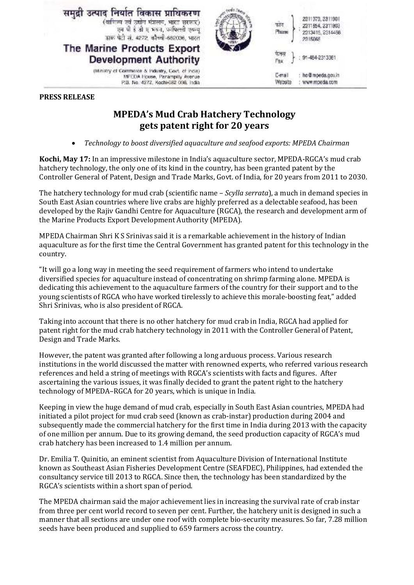

## **PRESS RELEASE**

## **MPEDA's Mud Crab Hatchery Technology gets patent right for 20 years**

• *Technology to boost diversified aquaculture and seafood exports: MPEDA Chairman*

**Kochi, May 17:** In an impressive milestone in India's aquaculture sector, MPEDA-RGCA's mud crab hatchery technology, the only one of its kind in the country, has been granted patent by the Controller General of Patent, Design and Trade Marks, Govt. of India, for 20 years from 2011 to 2030.

The hatchery technology for mud crab (scientific name – *Scylla serrata*), a much in demand species in South East Asian countries where live crabs are highly preferred as a delectable seafood, has been developed by the Rajiv Gandhi Centre for Aquaculture (RGCA), the research and development arm of the Marine Products Export Development Authority (MPEDA).

MPEDA Chairman Shri K S Srinivas said it is a remarkable achievement in the history of Indian aquaculture as for the first time the Central Government has granted patent for this technology in the country.

"It will go a long way in meeting the seed requirement of farmers who intend to undertake diversified species for aquaculture instead of concentrating on shrimp farming alone. MPEDA is dedicating this achievement to the aquaculture farmers of the country for their support and to the young scientists of RGCA who have worked tirelessly to achieve this morale-boosting feat," added Shri Srinivas, who is also president of RGCA.

Taking into account that there is no other hatchery for mud crab in India, RGCA had applied for patent right for the mud crab hatchery technology in 2011 with the Controller General of Patent, Design and Trade Marks.

However, the patent was granted after following a long arduous process. Various research institutions in the world discussed the matter with renowned experts, who referred various research references and held a string of meetings with RGCA's scientists with facts and figures. After ascertaining the various issues, it was finally decided to grant the patent right to the hatchery technology of MPEDA–RGCA for 20 years, which is unique in India.

Keeping in view the huge demand of mud crab, especially in South East Asian countries, MPEDA had initiated a pilot project for mud crab seed (known as crab-instar) production during 2004 and subsequently made the commercial hatchery for the first time in India during 2013 with the capacity of one million per annum. Due to its growing demand, the seed production capacity of RGCA's mud crab hatchery has been increased to 1.4 million per annum.

Dr. Emilia T. Quinitio, an eminent scientist from Aquaculture Division of International Institute known as Southeast Asian Fisheries Development Centre (SEAFDEC), Philippines, had extended the consultancy service till 2013 to RGCA. Since then, the technology has been standardized by the RGCA's scientists within a short span of period.

The MPEDA chairman said the major achievement lies in increasing the survival rate of crab instar from three per cent world record to seven per cent. Further, the hatchery unit is designed in such a manner that all sections are under one roof with complete bio-security measures. So far, 7.28 million seeds have been produced and supplied to 659 farmers across the country.